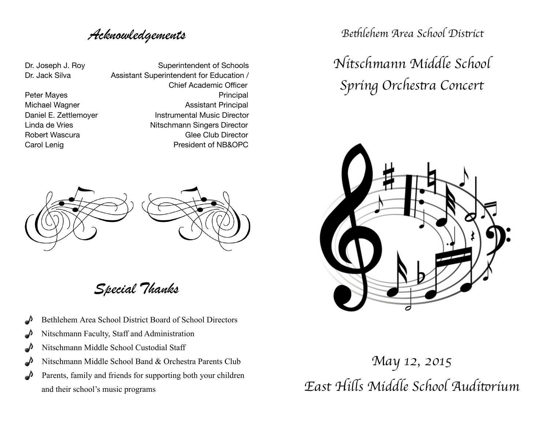# *Acknowledgements*

Dr. Joseph J. Roy Superintendent of Schools Dr. Jack Silva **Assistant Superintendent for Education** / Chief Academic Officer Peter Mayes **Deter Mayes Principal** Michael Wagner **Michael Wagner Night** Assistant Principal Daniel E. Zettlemoyer **Instrumental Music Director** Linda de Vries **Mitschmann** Singers Director Robert Wascura **Britannic Club Club Director** Clee Club Director Carol Lenig **Carol Lenig Carol Lenig Carol Lenig Carol Lenig Carol Lenig Carol 2016** 



*Special Thanks*

**• Bethlehem Area School District Board of School Directors**  $\triangle$  Nitschmann Faculty, Staff and Administration  $\triangle$  Nitschmann Middle School Custodial Staff **1** Nitschmann Middle School Band & Orchestra Parents Club *P* Parents, family and friends for supporting both your children

and their school's music programs

*Be*t*lehem Area School Dis*t*ict*

*Nitschmann Middle School Spring Orches*t*a Concert*



*May 12, 2015 East Hi*l*s Middle School Audi*t*rium*